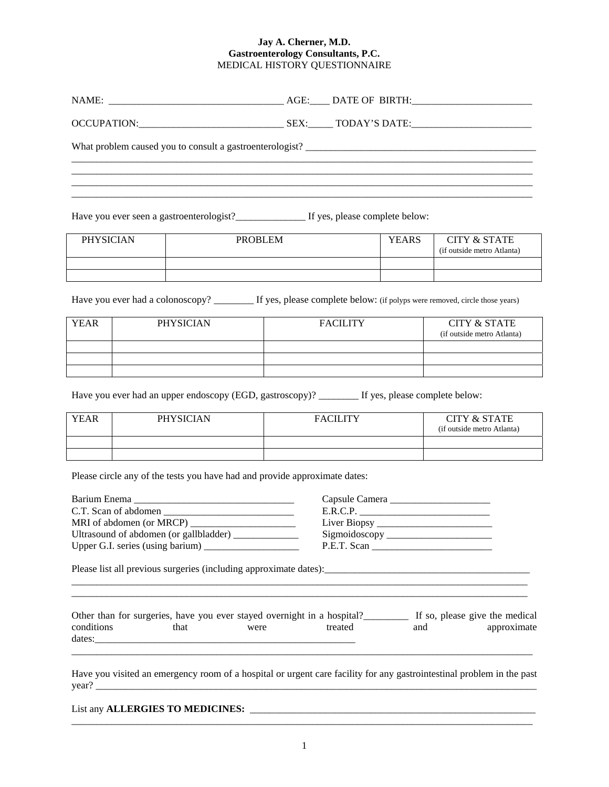## **Jay A. Cherner, M.D. Gastroenterology Consultants, P.C.**  MEDICAL HISTORY QUESTIONNAIRE

Have you ever seen a gastroenterologist?\_\_\_\_\_\_\_\_\_\_\_\_\_\_ If yes, please complete below:

| <b>PHYSICIAN</b> | <b>PROBLEM</b> | <b>YEARS</b> | <b>CITY &amp; STATE</b><br>(if outside metro Atlanta) |
|------------------|----------------|--------------|-------------------------------------------------------|
|                  |                |              |                                                       |
|                  |                |              |                                                       |

Have you ever had a colonoscopy? \_\_\_\_\_\_\_ If yes, please complete below: (if polyps were removed, circle those years)

| <b>YEAR</b> | PHYSICIAN | <b>FACILITY</b> | <b>CITY &amp; STATE</b><br>(if outside metro Atlanta) |
|-------------|-----------|-----------------|-------------------------------------------------------|
|             |           |                 |                                                       |
|             |           |                 |                                                       |
|             |           |                 |                                                       |

Have you ever had an upper endoscopy (EGD, gastroscopy)? \_\_\_\_\_\_\_\_\_ If yes, please complete below:

| <b>YEAR</b> | <b>PHYSICIAN</b> | <b>FACILITY</b> | <b>CITY &amp; STATE</b><br>(if outside metro Atlanta) |
|-------------|------------------|-----------------|-------------------------------------------------------|
|             |                  |                 |                                                       |
|             |                  |                 |                                                       |

Please circle any of the tests you have had and provide approximate dates:

| Barium Enema<br><u> 1989 - Johann Stein, margaret eta indonez erroman (h. 1989).</u> | Capsule Camera |
|--------------------------------------------------------------------------------------|----------------|
| C.T. Scan of abdomen                                                                 | E.R.C.P.       |
|                                                                                      |                |
| Ultrasound of abdomen (or gallbladder)                                               |                |
|                                                                                      | P.E.T. Scan    |

Please list all previous surgeries (including approximate dates):\_\_\_\_\_\_\_\_\_\_\_\_\_\_\_\_\_\_\_\_\_\_\_\_\_\_\_\_\_\_\_\_\_\_\_\_\_\_\_\_\_

|            | Other than for surgeries, have you ever stayed overnight in a hospital? |      |         |     | If so, please give the medical |
|------------|-------------------------------------------------------------------------|------|---------|-----|--------------------------------|
| conditions | that                                                                    | were | treated | and | approximate                    |
| dates:     |                                                                         |      |         |     |                                |

 $\overline{a}$  , and the contribution of the contribution of the contribution of the contribution of the contribution of  $\overline{a}$ 

 $\overline{a_1}$  ,  $\overline{a_2}$  ,  $\overline{a_3}$  ,  $\overline{a_4}$  ,  $\overline{a_5}$  ,  $\overline{a_6}$  ,  $\overline{a_7}$  ,  $\overline{a_8}$  ,  $\overline{a_9}$  ,  $\overline{a_9}$  ,  $\overline{a_9}$  ,  $\overline{a_9}$  ,  $\overline{a_9}$  ,  $\overline{a_9}$  ,  $\overline{a_9}$  ,  $\overline{a_9}$  ,  $\overline{a_9}$  ,

Have you visited an emergency room of a hospital or urgent care facility for any gastrointestinal problem in the past  $\gamma$ ear?

|  | List any <b>ALLERGIES TO MEDICINES:</b> |
|--|-----------------------------------------|
|--|-----------------------------------------|

 $\overline{a}$  , and the contribution of the contribution of the contribution of the contribution of the contribution of  $\overline{a}$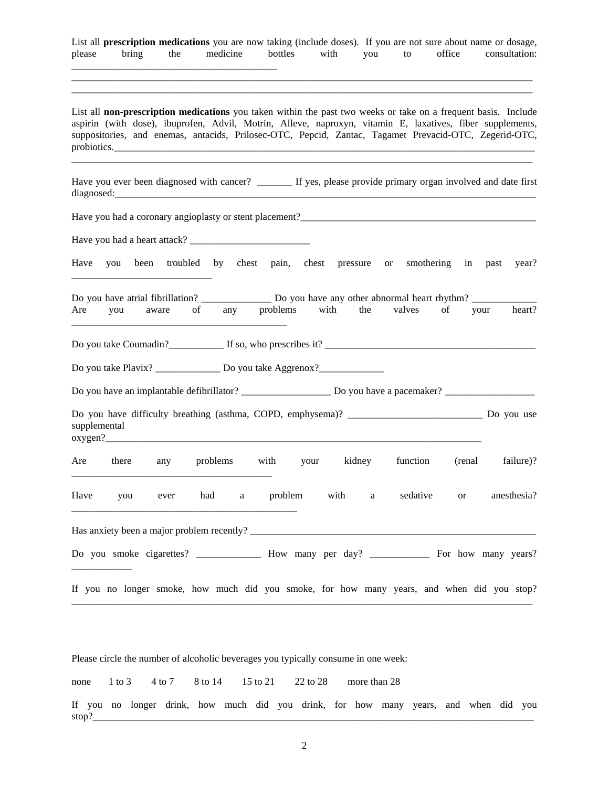List all **prescription medications** you are now taking (include doses). If you are not sure about name or dosage, please bring the medicine bottles with you to office consultation: \_\_\_\_\_\_\_\_\_\_\_\_\_\_\_\_\_\_\_\_\_\_\_\_\_\_\_\_\_\_\_\_\_\_\_\_\_\_\_\_\_

\_\_\_\_\_\_\_\_\_\_\_\_\_\_\_\_\_\_\_\_\_\_\_\_\_\_\_\_\_\_\_\_\_\_\_\_\_\_\_\_\_\_\_\_\_\_\_\_\_\_\_\_\_\_\_\_\_\_\_\_\_\_\_\_\_\_\_\_\_\_\_\_\_\_\_\_\_\_\_\_\_\_\_\_\_\_\_\_\_\_\_\_ \_\_\_\_\_\_\_\_\_\_\_\_\_\_\_\_\_\_\_\_\_\_\_\_\_\_\_\_\_\_\_\_\_\_\_\_\_\_\_\_\_\_\_\_\_\_\_\_\_\_\_\_\_\_\_\_\_\_\_\_\_\_\_\_\_\_\_\_\_\_\_\_\_\_\_\_\_\_\_\_\_\_\_\_\_\_\_\_\_\_\_\_

List all **non-prescription medications** you taken within the past two weeks or take on a frequent basis. Include aspirin (with dose), ibuprofen, Advil, Motrin, Alleve, naproxyn, vitamin E, laxatives, fiber supplements, suppositories, and enemas, antacids, Prilosec-OTC, Pepcid, Zantac, Tagamet Prevacid-OTC, Zegerid-OTC, probiotics.

\_\_\_\_\_\_\_\_\_\_\_\_\_\_\_\_\_\_\_\_\_\_\_\_\_\_\_\_\_\_\_\_\_\_\_\_\_\_\_\_\_\_\_\_\_\_\_\_\_\_\_\_\_\_\_\_\_\_\_\_\_\_\_\_\_\_\_\_\_\_\_\_\_\_\_\_\_\_\_\_\_\_\_\_\_\_\_\_\_\_\_\_

Have you ever been diagnosed with cancer? \_\_\_\_\_\_\_\_ If yes, please provide primary organ involved and date first diagnosed:

Have you had a coronary angioplasty or stent placement?\_\_\_\_\_\_\_\_\_\_\_\_\_\_\_\_\_\_\_\_\_\_\_\_\_\_\_\_\_\_\_\_\_\_\_\_\_\_\_\_\_\_\_\_\_\_\_ Have you had a heart attack? \_\_\_\_\_\_\_\_\_\_\_\_\_\_\_\_\_\_\_\_\_\_\_\_ Have you been troubled by chest pain, chest pressure or smothering in past year? \_\_\_\_\_\_\_\_\_\_\_\_\_\_\_\_\_\_\_\_\_\_\_\_\_\_\_\_ Do you have atrial fibrillation? \_\_\_\_\_\_\_\_\_\_\_\_\_\_\_\_\_ Do you have any other abnormal heart rhythm? Are you aware of any problems with the valves of your heart? \_\_\_\_\_\_\_\_\_\_\_\_\_\_\_\_\_\_\_\_\_\_\_\_\_\_\_\_\_\_\_\_\_\_\_\_\_\_\_\_\_\_\_ Do you take Coumadin?\_\_\_\_\_\_\_\_\_\_\_ If so, who prescribes it? \_\_\_\_\_\_\_\_\_\_\_\_\_\_\_\_\_\_\_\_\_\_\_\_\_\_\_\_\_\_\_\_\_\_\_\_\_\_\_\_\_\_ Do you take Plavix? \_\_\_\_\_\_\_\_\_\_\_\_\_\_\_ Do you take Aggrenox?\_\_\_\_\_\_\_\_\_\_\_\_\_\_\_\_\_\_\_\_\_\_\_ Do you have an implantable defibrillator? \_\_\_\_\_\_\_\_\_\_\_\_\_\_\_\_\_\_\_\_\_\_\_ Do you have a pacemaker? \_\_\_\_\_\_\_\_\_\_\_\_\_\_\_\_\_\_\_ Do you have difficulty breathing (asthma, COPD, emphysema)? \_\_\_\_\_\_\_\_\_\_\_\_\_\_\_\_\_\_\_\_\_\_\_\_\_\_\_ Do you use supplemental  $oxygen?$ Are there any problems with your kidney function (renal failure)? \_\_\_\_\_\_\_\_\_\_\_\_\_\_\_\_\_\_\_\_\_\_\_\_\_\_\_\_\_\_\_\_\_\_\_\_\_\_\_\_ Have you ever had a problem with a sedative or anesthesia? \_\_\_\_\_\_\_\_\_\_\_\_\_\_\_\_\_\_\_\_\_\_\_\_\_\_\_\_\_\_\_\_\_\_\_\_\_\_\_\_\_\_\_\_\_ Has anxiety been a major problem recently? \_\_\_\_\_\_\_\_\_\_\_\_\_\_\_\_\_\_\_\_\_\_\_\_\_\_\_\_\_\_\_\_\_\_\_\_\_\_\_\_\_\_\_\_\_\_\_\_\_\_\_\_\_\_\_\_\_ Do you smoke cigarettes? <br>
How many per day? For how many years? \_\_\_\_\_\_\_\_\_\_\_\_ If you no longer smoke, how much did you smoke, for how many years, and when did you stop? \_\_\_\_\_\_\_\_\_\_\_\_\_\_\_\_\_\_\_\_\_\_\_\_\_\_\_\_\_\_\_\_\_\_\_\_\_\_\_\_\_\_\_\_\_\_\_\_\_\_\_\_\_\_\_\_\_\_\_\_\_\_\_\_\_\_\_\_\_\_\_\_\_\_\_\_\_\_\_\_\_\_\_\_\_\_\_\_\_\_\_\_

Please circle the number of alcoholic beverages you typically consume in one week:

| none 1 to 3 4 to 7 8 to 14 15 to 21 22 to 28 more than 28                                     |  |  |  |  |  |  |  |  |
|-----------------------------------------------------------------------------------------------|--|--|--|--|--|--|--|--|
| If you no longer drink, how much did you drink, for how many years, and when did you<br>stop? |  |  |  |  |  |  |  |  |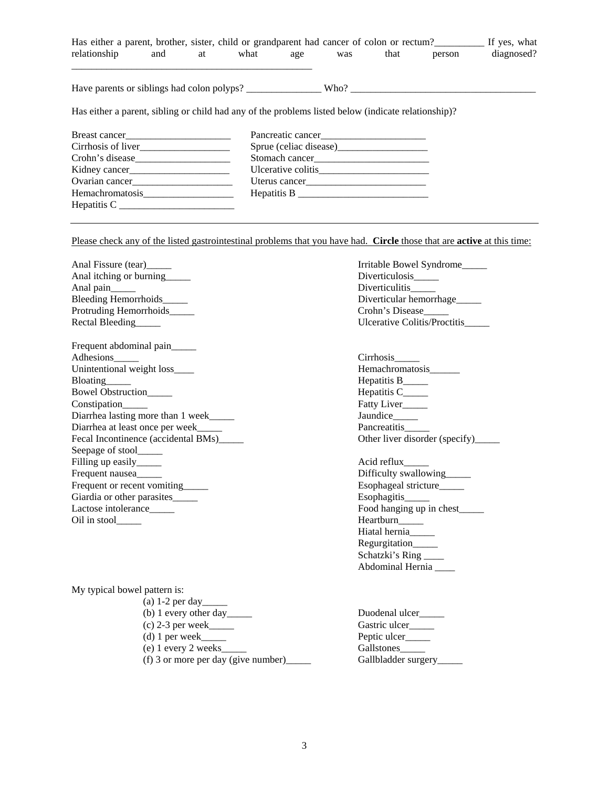| Has either a parent, brother, sister, child or grandparent had cancer of colon or rectum?<br>If yes, what                                                                                                                      |  |  |  |                   |        |            |
|--------------------------------------------------------------------------------------------------------------------------------------------------------------------------------------------------------------------------------|--|--|--|-------------------|--------|------------|
| relationship and at what age was                                                                                                                                                                                               |  |  |  | that              | person | diagnosed? |
|                                                                                                                                                                                                                                |  |  |  |                   |        |            |
| Has either a parent, sibling or child had any of the problems listed below (indicate relationship)?                                                                                                                            |  |  |  |                   |        |            |
| Breast cancer                                                                                                                                                                                                                  |  |  |  | Pancreatic cancer |        |            |
| Cirrhosis of liver                                                                                                                                                                                                             |  |  |  |                   |        |            |
|                                                                                                                                                                                                                                |  |  |  |                   |        |            |
|                                                                                                                                                                                                                                |  |  |  |                   |        |            |
| Ovarian cancer contract to the contract of the contract of the contract of the contract of the contract of the contract of the contract of the contract of the contract of the contract of the contract of the contract of the |  |  |  |                   |        |            |
|                                                                                                                                                                                                                                |  |  |  |                   |        |            |
| $H$ epatitis C                                                                                                                                                                                                                 |  |  |  |                   |        |            |

Please check any of the listed gastrointestinal problems that you have had. **Circle** those that are **active** at this time:

| Anal Fissure (tear)                      | Irritable Bowel Syndrome            |
|------------------------------------------|-------------------------------------|
| Anal itching or burning                  | Diverticulosis                      |
| Anal pain____                            | Diverticulitis                      |
| Bleeding Hemorrhoids_____                | Diverticular hemorrhage             |
| Protruding Hemorrhoids_____              | Crohn's Disease                     |
| Rectal Bleeding                          | <b>Ulcerative Colitis/Proctitis</b> |
|                                          |                                     |
| Frequent abdominal pain_____             |                                     |
| Adhesions______                          | Cirrhosis                           |
| Unintentional weight loss____            | Hemachromatosis______               |
| Bloating______                           | Hepatitis B_____                    |
| Bowel Obstruction_____                   | Hepatitis C_____                    |
| Constipation                             | Fatty Liver____                     |
| Diarrhea lasting more than 1 week        | Jaundice_____                       |
| Diarrhea at least once per week          | Pancreatitis_____                   |
| Fecal Incontinence (accidental BMs)_____ | Other liver disorder (specify)_     |
| Seepage of stool_____                    |                                     |
| Filling up easily_______                 | Acid reflux                         |
| Frequent nausea                          | Difficulty swallowing_____          |
| Frequent or recent vomiting              | Esophageal stricture                |
| Giardia or other parasites______         | Esophagitis______                   |
| Lactose intolerance_____                 | Food hanging up in chest_____       |
| Oil in stool_____                        | Heartburn_____                      |
|                                          | Hiatal hernia                       |
|                                          | Regurgitation_____                  |
|                                          | Schatzki's Ring                     |
|                                          | Abdominal Hernia ____               |
|                                          |                                     |
| My typical bowel pattern is:             |                                     |
|                                          |                                     |
| (b) 1 every other day_______             | Duodenal ulcer_____                 |
|                                          | Gastric ulcer_____                  |
| $(d)$ 1 per week                         | Peptic ulcer____                    |
| (e) 1 every 2 weeks                      | Gallstones_____                     |

(f) 3 or more per day (give number)\_\_\_\_\_ Gallbladder surgery\_\_\_\_\_